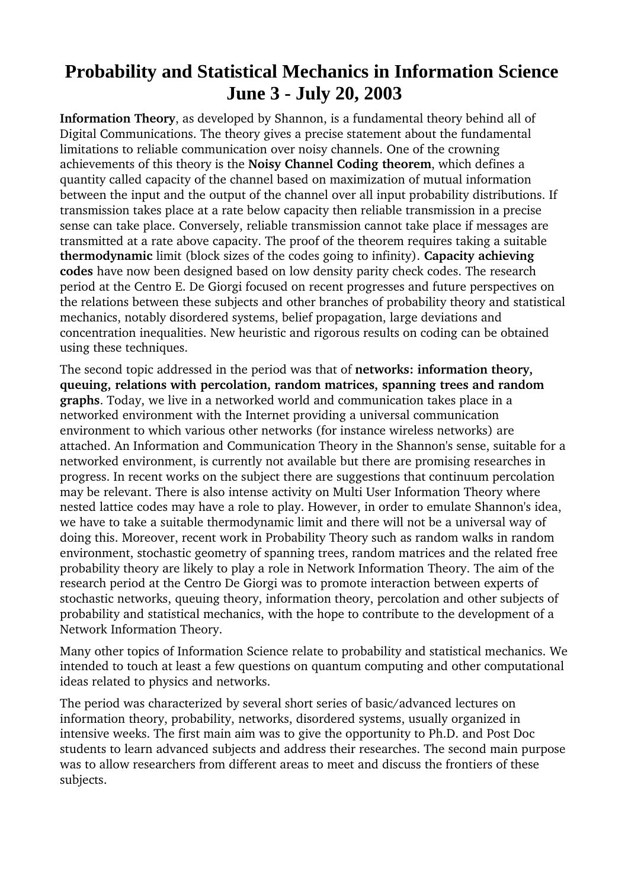## **Probability and Statistical Mechanics in Information Science June 3 - July 20, 2003**

**Information Theory**, as developed by Shannon, is a fundamental theory behind all of Digital Communications. The theory gives a precise statement about the fundamental limitations to reliable communication over noisy channels. One of the crowning achievements of this theory is the **Noisy Channel Coding theorem**, which defines a quantity called capacity of the channel based on maximization of mutual information between the input and the output of the channel over all input probability distributions. If transmission takes place at a rate below capacity then reliable transmission in a precise sense can take place. Conversely, reliable transmission cannot take place if messages are transmitted at a rate above capacity. The proof of the theorem requires taking a suitable **thermodynamic** limit (block sizes of the codes going to infinity). **Capacity achieving codes** have now been designed based on low density parity check codes. The research period at the Centro E. De Giorgi focused on recent progresses and future perspectives on the relations between these subjects and other branches of probability theory and statistical mechanics, notably disordered systems, belief propagation, large deviations and concentration inequalities. New heuristic and rigorous results on coding can be obtained using these techniques.

The second topic addressed in the period was that of **networks: information theory, queuing, relations with percolation, random matrices, spanning trees and random graphs**. Today, we live in a networked world and communication takes place in a networked environment with the Internet providing a universal communication environment to which various other networks (for instance wireless networks) are attached. An Information and Communication Theory in the Shannon's sense, suitable for a networked environment, is currently not available but there are promising researches in progress. In recent works on the subject there are suggestions that continuum percolation may be relevant. There is also intense activity on Multi User Information Theory where nested lattice codes may have a role to play. However, in order to emulate Shannon's idea, we have to take a suitable thermodynamic limit and there will not be a universal way of doing this. Moreover, recent work in Probability Theory such as random walks in random environment, stochastic geometry of spanning trees, random matrices and the related free probability theory are likely to play a role in Network Information Theory. The aim of the research period at the Centro De Giorgi was to promote interaction between experts of stochastic networks, queuing theory, information theory, percolation and other subjects of probability and statistical mechanics, with the hope to contribute to the development of a Network Information Theory.

Many other topics of Information Science relate to probability and statistical mechanics. We intended to touch at least a few questions on quantum computing and other computational ideas related to physics and networks.

The period was characterized by several short series of basic/advanced lectures on information theory, probability, networks, disordered systems, usually organized in intensive weeks. The first main aim was to give the opportunity to Ph.D. and Post Doc students to learn advanced subjects and address their researches. The second main purpose was to allow researchers from different areas to meet and discuss the frontiers of these subjects.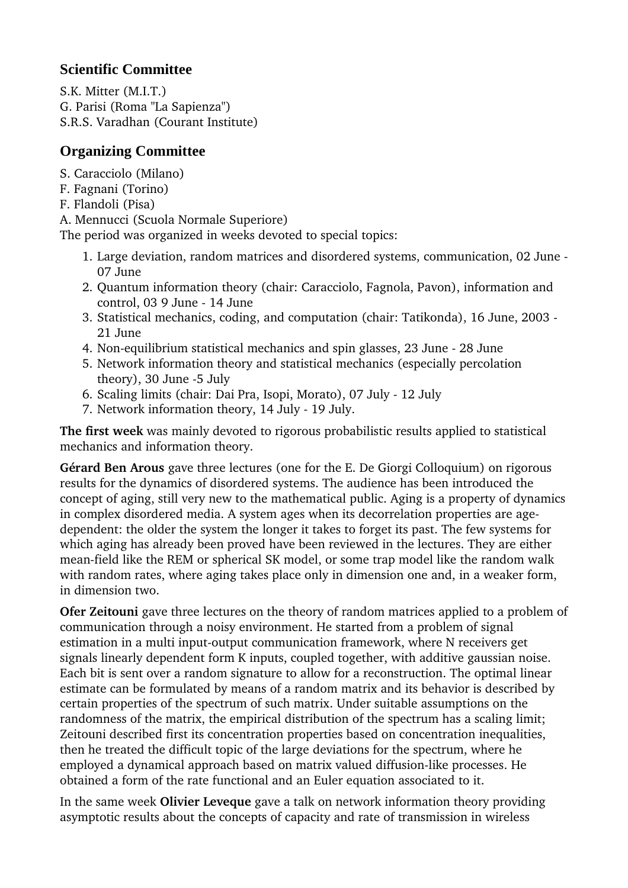## **Scientific Committee**

S.K. Mitter (M.I.T.) G. Parisi (Roma "La Sapienza") S.R.S. Varadhan (Courant Institute)

## **Organizing Committee**

S. Caracciolo (Milano)

- F. Fagnani (Torino)
- F. Flandoli (Pisa)

A. Mennucci (Scuola Normale Superiore)

The period was organized in weeks devoted to special topics:

- 1. Large deviation, random matrices and disordered systems, communication, 02 June 07 June
- 2. Quantum information theory (chair: Caracciolo, Fagnola, Pavon), information and control, 03 9 June - 14 June
- 3. Statistical mechanics, coding, and computation (chair: Tatikonda), 16 June, 2003 21 June
- 4. Non-equilibrium statistical mechanics and spin glasses, 23 June 28 June
- 5. Network information theory and statistical mechanics (especially percolation theory), 30 June -5 July
- 6. Scaling limits (chair: Dai Pra, Isopi, Morato), 07 July 12 July
- 7. Network information theory, 14 July 19 July.

**The first week** was mainly devoted to rigorous probabilistic results applied to statistical mechanics and information theory.

**Gérard Ben Arous** gave three lectures (one for the E. De Giorgi Colloquium) on rigorous results for the dynamics of disordered systems. The audience has been introduced the concept of aging, still very new to the mathematical public. Aging is a property of dynamics in complex disordered media. A system ages when its decorrelation properties are agedependent: the older the system the longer it takes to forget its past. The few systems for which aging has already been proved have been reviewed in the lectures. They are either mean-field like the REM or spherical SK model, or some trap model like the random walk with random rates, where aging takes place only in dimension one and, in a weaker form, in dimension two.

**Ofer Zeitouni** gave three lectures on the theory of random matrices applied to a problem of communication through a noisy environment. He started from a problem of signal estimation in a multi input-output communication framework, where N receivers get signals linearly dependent form K inputs, coupled together, with additive gaussian noise. Each bit is sent over a random signature to allow for a reconstruction. The optimal linear estimate can be formulated by means of a random matrix and its behavior is described by certain properties of the spectrum of such matrix. Under suitable assumptions on the randomness of the matrix, the empirical distribution of the spectrum has a scaling limit; Zeitouni described first its concentration properties based on concentration inequalities, then he treated the difficult topic of the large deviations for the spectrum, where he employed a dynamical approach based on matrix valued diffusion-like processes. He obtained a form of the rate functional and an Euler equation associated to it.

In the same week **Olivier Leveque** gave a talk on network information theory providing asymptotic results about the concepts of capacity and rate of transmission in wireless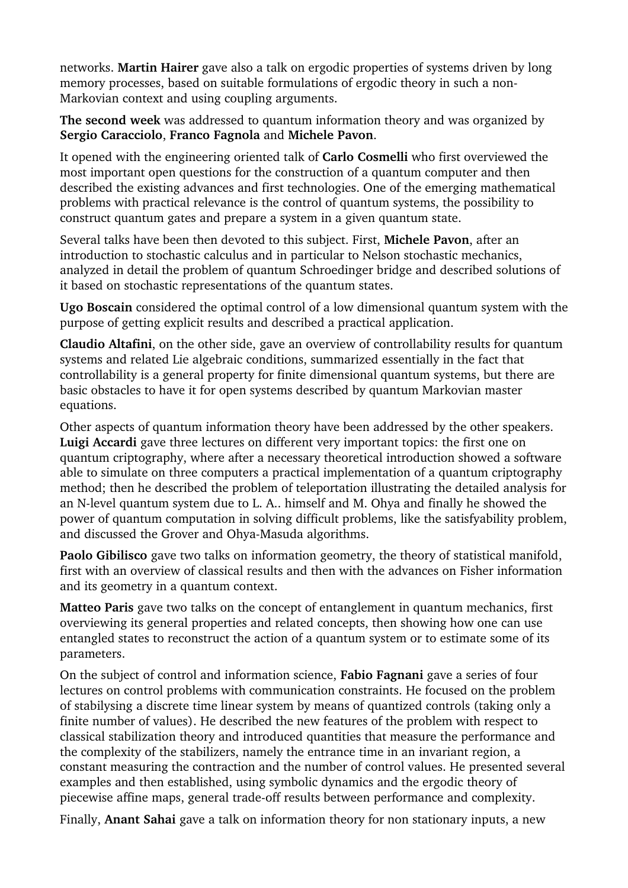networks. **Martin Hairer** gave also a talk on ergodic properties of systems driven by long memory processes, based on suitable formulations of ergodic theory in such a non-Markovian context and using coupling arguments.

**The second week** was addressed to quantum information theory and was organized by **Sergio Caracciolo**, **Franco Fagnola** and **Michele Pavon**.

It opened with the engineering oriented talk of **Carlo Cosmelli** who first overviewed the most important open questions for the construction of a quantum computer and then described the existing advances and first technologies. One of the emerging mathematical problems with practical relevance is the control of quantum systems, the possibility to construct quantum gates and prepare a system in a given quantum state.

Several talks have been then devoted to this subject. First, **Michele Pavon**, after an introduction to stochastic calculus and in particular to Nelson stochastic mechanics, analyzed in detail the problem of quantum Schroedinger bridge and described solutions of it based on stochastic representations of the quantum states.

**Ugo Boscain** considered the optimal control of a low dimensional quantum system with the purpose of getting explicit results and described a practical application.

**Claudio Altafini**, on the other side, gave an overview of controllability results for quantum systems and related Lie algebraic conditions, summarized essentially in the fact that controllability is a general property for finite dimensional quantum systems, but there are basic obstacles to have it for open systems described by quantum Markovian master equations.

Other aspects of quantum information theory have been addressed by the other speakers. **Luigi Accardi** gave three lectures on different very important topics: the first one on quantum criptography, where after a necessary theoretical introduction showed a software able to simulate on three computers a practical implementation of a quantum criptography method; then he described the problem of teleportation illustrating the detailed analysis for an N-level quantum system due to L. A.. himself and M. Ohya and finally he showed the power of quantum computation in solving difficult problems, like the satisfyability problem, and discussed the Grover and Ohya-Masuda algorithms.

**Paolo Gibilisco** gave two talks on information geometry, the theory of statistical manifold, first with an overview of classical results and then with the advances on Fisher information and its geometry in a quantum context.

**Matteo Paris** gave two talks on the concept of entanglement in quantum mechanics, first overviewing its general properties and related concepts, then showing how one can use entangled states to reconstruct the action of a quantum system or to estimate some of its parameters.

On the subject of control and information science, **Fabio Fagnani** gave a series of four lectures on control problems with communication constraints. He focused on the problem of stabilysing a discrete time linear system by means of quantized controls (taking only a finite number of values). He described the new features of the problem with respect to classical stabilization theory and introduced quantities that measure the performance and the complexity of the stabilizers, namely the entrance time in an invariant region, a constant measuring the contraction and the number of control values. He presented several examples and then established, using symbolic dynamics and the ergodic theory of piecewise affine maps, general trade-off results between performance and complexity.

Finally, **Anant Sahai** gave a talk on information theory for non stationary inputs, a new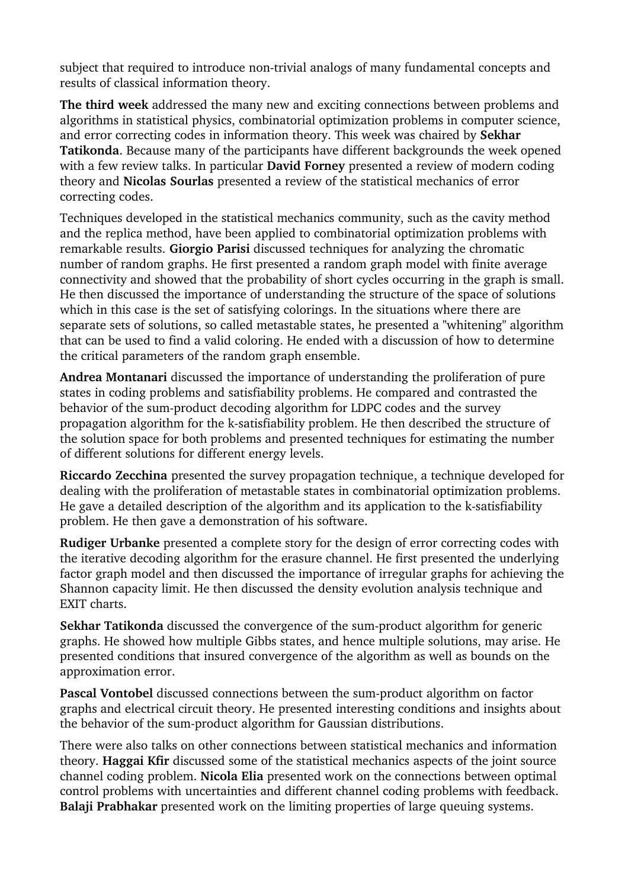subject that required to introduce non-trivial analogs of many fundamental concepts and results of classical information theory.

**The third week** addressed the many new and exciting connections between problems and algorithms in statistical physics, combinatorial optimization problems in computer science, and error correcting codes in information theory. This week was chaired by **Sekhar Tatikonda**. Because many of the participants have different backgrounds the week opened with a few review talks. In particular **David Forney** presented a review of modern coding theory and **Nicolas Sourlas** presented a review of the statistical mechanics of error correcting codes.

Techniques developed in the statistical mechanics community, such as the cavity method and the replica method, have been applied to combinatorial optimization problems with remarkable results. **Giorgio Parisi** discussed techniques for analyzing the chromatic number of random graphs. He first presented a random graph model with finite average connectivity and showed that the probability of short cycles occurring in the graph is small. He then discussed the importance of understanding the structure of the space of solutions which in this case is the set of satisfying colorings. In the situations where there are separate sets of solutions, so called metastable states, he presented a "whitening" algorithm that can be used to find a valid coloring. He ended with a discussion of how to determine the critical parameters of the random graph ensemble.

**Andrea Montanari** discussed the importance of understanding the proliferation of pure states in coding problems and satisfiability problems. He compared and contrasted the behavior of the sum-product decoding algorithm for LDPC codes and the survey propagation algorithm for the k-satisfiability problem. He then described the structure of the solution space for both problems and presented techniques for estimating the number of different solutions for different energy levels.

**Riccardo Zecchina** presented the survey propagation technique, a technique developed for dealing with the proliferation of metastable states in combinatorial optimization problems. He gave a detailed description of the algorithm and its application to the k-satisfiability problem. He then gave a demonstration of his software.

**Rudiger Urbanke** presented a complete story for the design of error correcting codes with the iterative decoding algorithm for the erasure channel. He first presented the underlying factor graph model and then discussed the importance of irregular graphs for achieving the Shannon capacity limit. He then discussed the density evolution analysis technique and EXIT charts.

**Sekhar Tatikonda** discussed the convergence of the sum-product algorithm for generic graphs. He showed how multiple Gibbs states, and hence multiple solutions, may arise. He presented conditions that insured convergence of the algorithm as well as bounds on the approximation error.

Pascal Vontobel discussed connections between the sum-product algorithm on factor graphs and electrical circuit theory. He presented interesting conditions and insights about the behavior of the sum-product algorithm for Gaussian distributions.

There were also talks on other connections between statistical mechanics and information theory. **Haggai Kfir** discussed some of the statistical mechanics aspects of the joint source channel coding problem. **Nicola Elia** presented work on the connections between optimal control problems with uncertainties and different channel coding problems with feedback. **Balaji Prabhakar** presented work on the limiting properties of large queuing systems.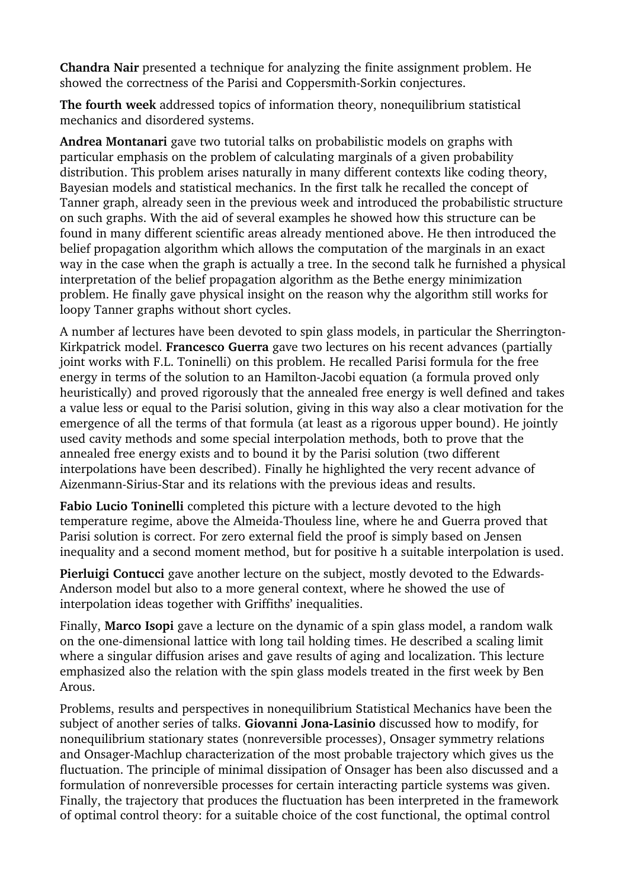**Chandra Nair** presented a technique for analyzing the finite assignment problem. He showed the correctness of the Parisi and Coppersmith-Sorkin conjectures.

**The fourth week** addressed topics of information theory, nonequilibrium statistical mechanics and disordered systems.

**Andrea Montanari** gave two tutorial talks on probabilistic models on graphs with particular emphasis on the problem of calculating marginals of a given probability distribution. This problem arises naturally in many different contexts like coding theory, Bayesian models and statistical mechanics. In the first talk he recalled the concept of Tanner graph, already seen in the previous week and introduced the probabilistic structure on such graphs. With the aid of several examples he showed how this structure can be found in many different scientific areas already mentioned above. He then introduced the belief propagation algorithm which allows the computation of the marginals in an exact way in the case when the graph is actually a tree. In the second talk he furnished a physical interpretation of the belief propagation algorithm as the Bethe energy minimization problem. He finally gave physical insight on the reason why the algorithm still works for loopy Tanner graphs without short cycles.

A number af lectures have been devoted to spin glass models, in particular the Sherrington-Kirkpatrick model. **Francesco Guerra** gave two lectures on his recent advances (partially joint works with F.L. Toninelli) on this problem. He recalled Parisi formula for the free energy in terms of the solution to an Hamilton-Jacobi equation (a formula proved only heuristically) and proved rigorously that the annealed free energy is well defined and takes a value less or equal to the Parisi solution, giving in this way also a clear motivation for the emergence of all the terms of that formula (at least as a rigorous upper bound). He jointly used cavity methods and some special interpolation methods, both to prove that the annealed free energy exists and to bound it by the Parisi solution (two different interpolations have been described). Finally he highlighted the very recent advance of Aizenmann-Sirius-Star and its relations with the previous ideas and results.

**Fabio Lucio Toninelli** completed this picture with a lecture devoted to the high temperature regime, above the Almeida-Thouless line, where he and Guerra proved that Parisi solution is correct. For zero external field the proof is simply based on Jensen inequality and a second moment method, but for positive h a suitable interpolation is used.

**Pierluigi Contucci** gave another lecture on the subject, mostly devoted to the Edwards-Anderson model but also to a more general context, where he showed the use of interpolation ideas together with Griffiths' inequalities.

Finally, **Marco Isopi** gave a lecture on the dynamic of a spin glass model, a random walk on the one-dimensional lattice with long tail holding times. He described a scaling limit where a singular diffusion arises and gave results of aging and localization. This lecture emphasized also the relation with the spin glass models treated in the first week by Ben Arous.

Problems, results and perspectives in nonequilibrium Statistical Mechanics have been the subject of another series of talks. **Giovanni JonaLasinio** discussed how to modify, for nonequilibrium stationary states (nonreversible processes), Onsager symmetry relations and Onsager-Machlup characterization of the most probable trajectory which gives us the fluctuation. The principle of minimal dissipation of Onsager has been also discussed and a formulation of nonreversible processes for certain interacting particle systems was given. Finally, the trajectory that produces the fluctuation has been interpreted in the framework of optimal control theory: for a suitable choice of the cost functional, the optimal control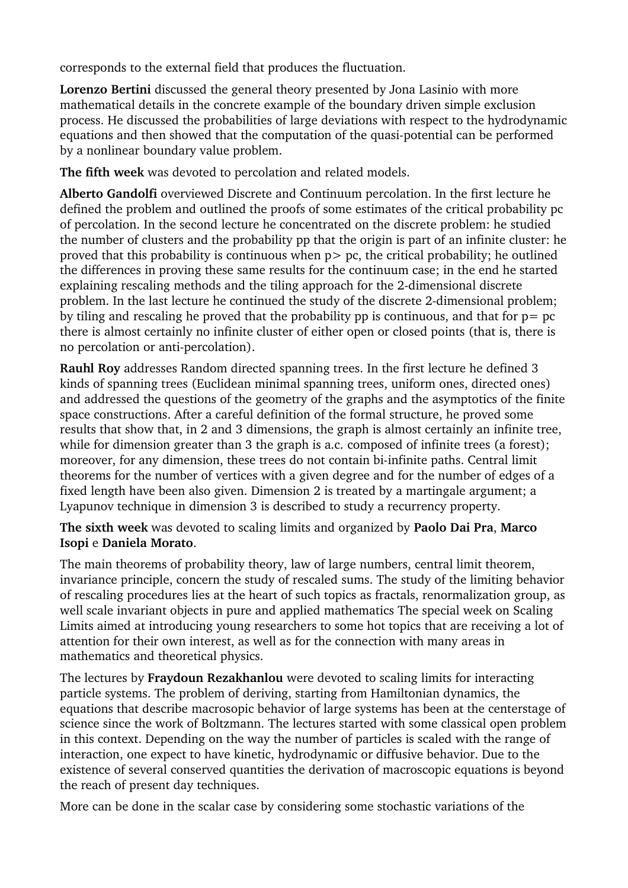corresponds to the external field that produces the fluctuation.

**Lorenzo Bertini** discussed the general theory presented by Jona Lasinio with more mathematical details in the concrete example of the boundary driven simple exclusion process. He discussed the probabilities of large deviations with respect to the hydrodynamic equations and then showed that the computation of the quasi-potential can be performed by a nonlinear boundary value problem.

**The fifth week** was devoted to percolation and related models.

**Alberto Gandolfi** overviewed Discrete and Continuum percolation. In the first lecture he defined the problem and outlined the proofs of some estimates of the critical probability pc of percolation. In the second lecture he concentrated on the discrete problem: he studied the number of clusters and the probability pp that the origin is part of an infinite cluster: he proved that this probability is continuous when  $p$   $>$   $p$ c, the critical probability; he outlined the differences in proving these same results for the continuum case; in the end he started explaining rescaling methods and the tiling approach for the 2-dimensional discrete problem. In the last lecture he continued the study of the discrete 2-dimensional problem; by tiling and rescaling he proved that the probability pp is continuous, and that for  $p = pc$ there is almost certainly no infinite cluster of either open or closed points (that is, there is no percolation or anti-percolation).

**Rauhl Roy** addresses Random directed spanning trees. In the first lecture he defined 3 kinds of spanning trees (Euclidean minimal spanning trees, uniform ones, directed ones) and addressed the questions of the geometry of the graphs and the asymptotics of the finite space constructions. After a careful definition of the formal structure, he proved some results that show that, in 2 and 3 dimensions, the graph is almost certainly an infinite tree, while for dimension greater than 3 the graph is a.c. composed of infinite trees (a forest); moreover, for any dimension, these trees do not contain bi-infinite paths. Central limit theorems for the number of vertices with a given degree and for the number of edges of a fixed length have been also given. Dimension 2 is treated by a martingale argument; a Lyapunov technique in dimension 3 is described to study a recurrency property.

**The sixth week** was devoted to scaling limits and organized by **Paolo Dai Pra**, **Marco Isopi** e **Daniela Morato**.

The main theorems of probability theory, law of large numbers, central limit theorem, invariance principle, concern the study of rescaled sums. The study of the limiting behavior of rescaling procedures lies at the heart of such topics as fractals, renormalization group, as well scale invariant objects in pure and applied mathematics The special week on Scaling Limits aimed at introducing young researchers to some hot topics that are receiving a lot of attention for their own interest, as well as for the connection with many areas in mathematics and theoretical physics.

The lectures by **Fraydoun Rezakhanlou** were devoted to scaling limits for interacting particle systems. The problem of deriving, starting from Hamiltonian dynamics, the equations that describe macrosopic behavior of large systems has been at the centerstage of science since the work of Boltzmann. The lectures started with some classical open problem in this context. Depending on the way the number of particles is scaled with the range of interaction, one expect to have kinetic, hydrodynamic or diffusive behavior. Due to the existence of several conserved quantities the derivation of macroscopic equations is beyond the reach of present day techniques.

More can be done in the scalar case by considering some stochastic variations of the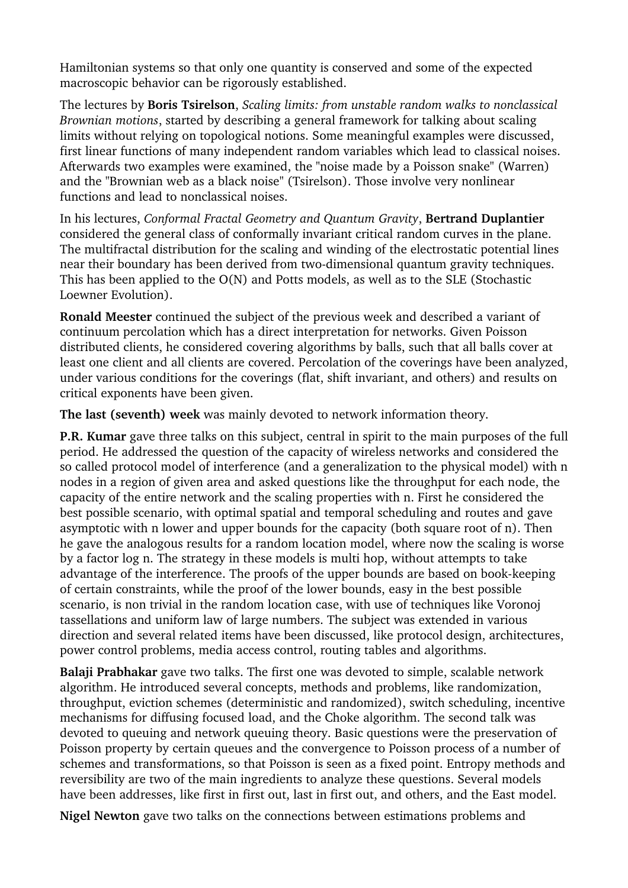Hamiltonian systems so that only one quantity is conserved and some of the expected macroscopic behavior can be rigorously established.

The lectures by **Boris Tsirelson**, *Scaling limits: from unstable random walks to nonclassical Brownian motions*, started by describing a general framework for talking about scaling limits without relying on topological notions. Some meaningful examples were discussed, first linear functions of many independent random variables which lead to classical noises. Afterwards two examples were examined, the "noise made by a Poisson snake" (Warren) and the "Brownian web as a black noise" (Tsirelson). Those involve very nonlinear functions and lead to nonclassical noises.

In his lectures, *Conformal Fractal Geometry and Quantum Gravity*, **Bertrand Duplantier** considered the general class of conformally invariant critical random curves in the plane. The multifractal distribution for the scaling and winding of the electrostatic potential lines near their boundary has been derived from two-dimensional quantum gravity techniques. This has been applied to the O(N) and Potts models, as well as to the SLE (Stochastic Loewner Evolution).

**Ronald Meester** continued the subject of the previous week and described a variant of continuum percolation which has a direct interpretation for networks. Given Poisson distributed clients, he considered covering algorithms by balls, such that all balls cover at least one client and all clients are covered. Percolation of the coverings have been analyzed, under various conditions for the coverings (flat, shift invariant, and others) and results on critical exponents have been given.

**The last (seventh) week** was mainly devoted to network information theory.

**P.R. Kumar** gave three talks on this subject, central in spirit to the main purposes of the full period. He addressed the question of the capacity of wireless networks and considered the so called protocol model of interference (and a generalization to the physical model) with n nodes in a region of given area and asked questions like the throughput for each node, the capacity of the entire network and the scaling properties with n. First he considered the best possible scenario, with optimal spatial and temporal scheduling and routes and gave asymptotic with n lower and upper bounds for the capacity (both square root of n). Then he gave the analogous results for a random location model, where now the scaling is worse by a factor log n. The strategy in these models is multi hop, without attempts to take advantage of the interference. The proofs of the upper bounds are based on book-keeping of certain constraints, while the proof of the lower bounds, easy in the best possible scenario, is non trivial in the random location case, with use of techniques like Voronoj tassellations and uniform law of large numbers. The subject was extended in various direction and several related items have been discussed, like protocol design, architectures, power control problems, media access control, routing tables and algorithms.

**Balaji Prabhakar** gave two talks. The first one was devoted to simple, scalable network algorithm. He introduced several concepts, methods and problems, like randomization, throughput, eviction schemes (deterministic and randomized), switch scheduling, incentive mechanisms for diffusing focused load, and the Choke algorithm. The second talk was devoted to queuing and network queuing theory. Basic questions were the preservation of Poisson property by certain queues and the convergence to Poisson process of a number of schemes and transformations, so that Poisson is seen as a fixed point. Entropy methods and reversibility are two of the main ingredients to analyze these questions. Several models have been addresses, like first in first out, last in first out, and others, and the East model.

**Nigel Newton** gave two talks on the connections between estimations problems and